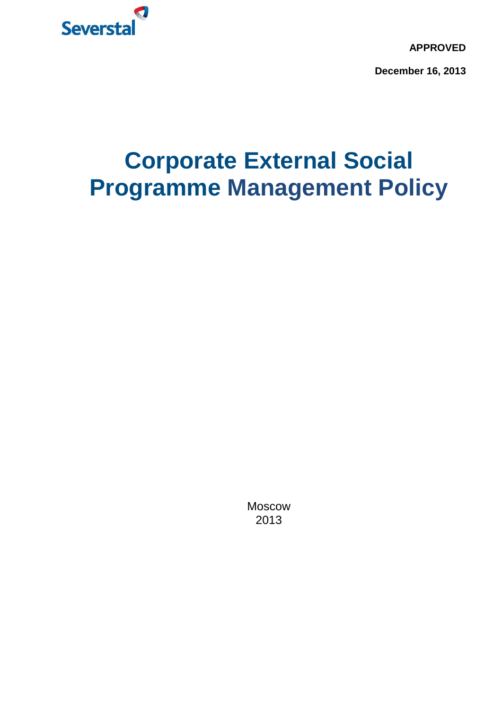

**APPROVED**

**December 16, 2013**

# **Corporate External Social Programme Management Policy**

Moscow 2013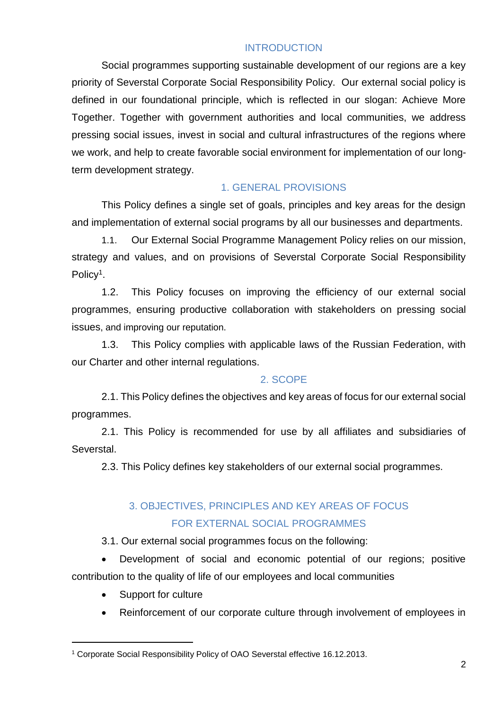#### **INTRODUCTION**

Social programmes supporting sustainable development of our regions are a key priority of Severstal Corporate Social Responsibility Policy. Our external social policy is defined in our foundational principle, which is reflected in our slogan: Achieve More Together. Together with government authorities and local communities, we address pressing social issues, invest in social and cultural infrastructures of the regions where we work, and help to create favorable social environment for implementation of our longterm development strategy.

### 1. GENERAL PROVISIONS

This Policy defines a single set of goals, principles and key areas for the design and implementation of external social programs by all our businesses and departments.

1.1. Our External Social Programme Management Policy relies on our mission, strategy and values, and on provisions of Severstal Corporate Social Responsibility Policy<sup>1</sup>.

1.2. This Policy focuses on improving the efficiency of our external social programmes, ensuring productive collaboration with stakeholders on pressing social issues, and improving our reputation.

1.3. This Policy complies with applicable laws of the Russian Federation, with our Charter and other internal regulations.

#### 2. SCOPE

2.1. This Policy defines the objectives and key areas of focus for our external social programmes.

2.1. This Policy is recommended for use by all affiliates and subsidiaries of Severstal.

2.3. This Policy defines key stakeholders of our external social programmes.

# 3. OBJECTIVES, PRINCIPLES AND KEY AREAS OF FOCUS FOR EXTERNAL SOCIAL PROGRAMMES

3.1. Our external social programmes focus on the following:

 Development of social and economic potential of our regions; positive contribution to the quality of life of our employees and local communities

• Support for culture

-

Reinforcement of our corporate culture through involvement of employees in

<sup>1</sup> Corporate Social Responsibility Policy of OAO Severstal effective 16.12.2013.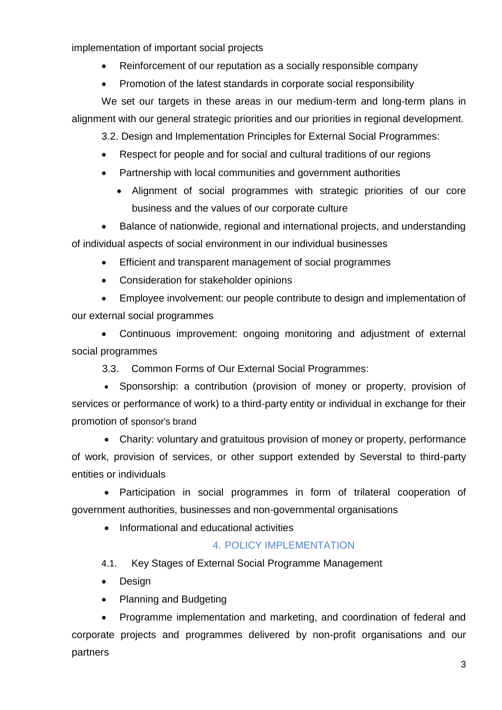implementation of important social projects

- Reinforcement of our reputation as a socially responsible company
- Promotion of the latest standards in corporate social responsibility

We set our targets in these areas in our medium-term and long-term plans in alignment with our general strategic priorities and our priorities in regional development.

3.2. Design and Implementation Principles for External Social Programmes:

- Respect for people and for social and cultural traditions of our regions
- Partnership with local communities and government authorities
	- Alignment of social programmes with strategic priorities of our core business and the values of our corporate culture

 Balance of nationwide, regional and international projects, and understanding of individual aspects of social environment in our individual businesses

- Efficient and transparent management of social programmes
- Consideration for stakeholder opinions

 Employee involvement: our people contribute to design and implementation of our external social programmes

 Continuous improvement: ongoing monitoring and adjustment of external social programmes

3.3. Common Forms of Our External Social Programmes:

• Sponsorship: a contribution (provision of money or property, provision of services or performance of work) to a third-party entity or individual in exchange for their promotion of sponsor's brand

 Charity: voluntary and gratuitous provision of money or property, performance of work, provision of services, or other support extended by Severstal to third-party entities or individuals

 Participation in social programmes in form of trilateral cooperation of government authorities, businesses and non-governmental organisations

• Informational and educational activities

## 4. POLICY IMPLEMENTATION

- 4.1. Key Stages of External Social Programme Management
- Design
- Planning and Budgeting

 Programme implementation and marketing, and coordination of federal and corporate projects and programmes delivered by non-profit organisations and our partners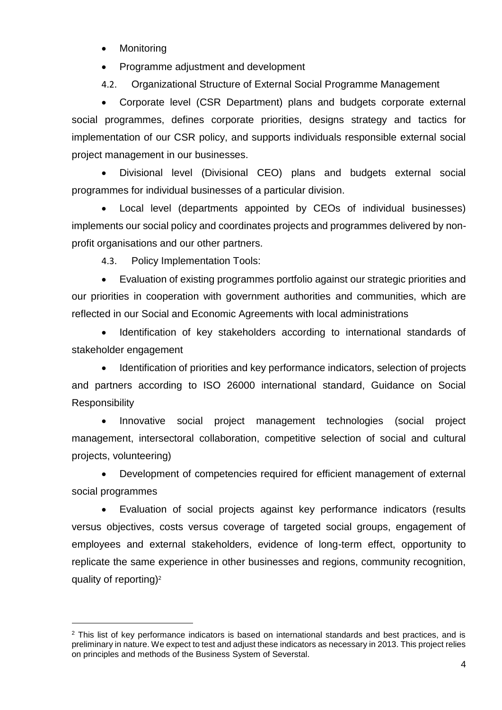Monitoring

-

- Programme adjustment and development
- 4.2. Organizational Structure of External Social Programme Management

 Corporate level (CSR Department) plans and budgets corporate external social programmes, defines corporate priorities, designs strategy and tactics for implementation of our CSR policy, and supports individuals responsible external social project management in our businesses.

 Divisional level (Divisional CEO) plans and budgets external social programmes for individual businesses of a particular division.

 Local level (departments appointed by CEOs of individual businesses) implements our social policy and coordinates projects and programmes delivered by nonprofit organisations and our other partners.

4.3. Policy Implementation Tools:

 Evaluation of existing programmes portfolio against our strategic priorities and our priorities in cooperation with government authorities and communities, which are reflected in our Social and Economic Agreements with local administrations

 Identification of key stakeholders according to international standards of stakeholder engagement

 Identification of priorities and key performance indicators, selection of projects and partners according to ISO 26000 international standard, Guidance on Social **Responsibility** 

• Innovative social project management technologies (social project management, intersectoral collaboration, competitive selection of social and cultural projects, volunteering)

 Development of competencies required for efficient management of external social programmes

 Evaluation of social projects against key performance indicators (results versus objectives, costs versus coverage of targeted social groups, engagement of employees and external stakeholders, evidence of long-term effect, opportunity to replicate the same experience in other businesses and regions, community recognition, quality of reporting)<sup>2</sup>

<sup>&</sup>lt;sup>2</sup> This list of key performance indicators is based on international standards and best practices, and is preliminary in nature. We expect to test and adjust these indicators as necessary in 2013. This project relies on principles and methods of the Business System of Severstal.